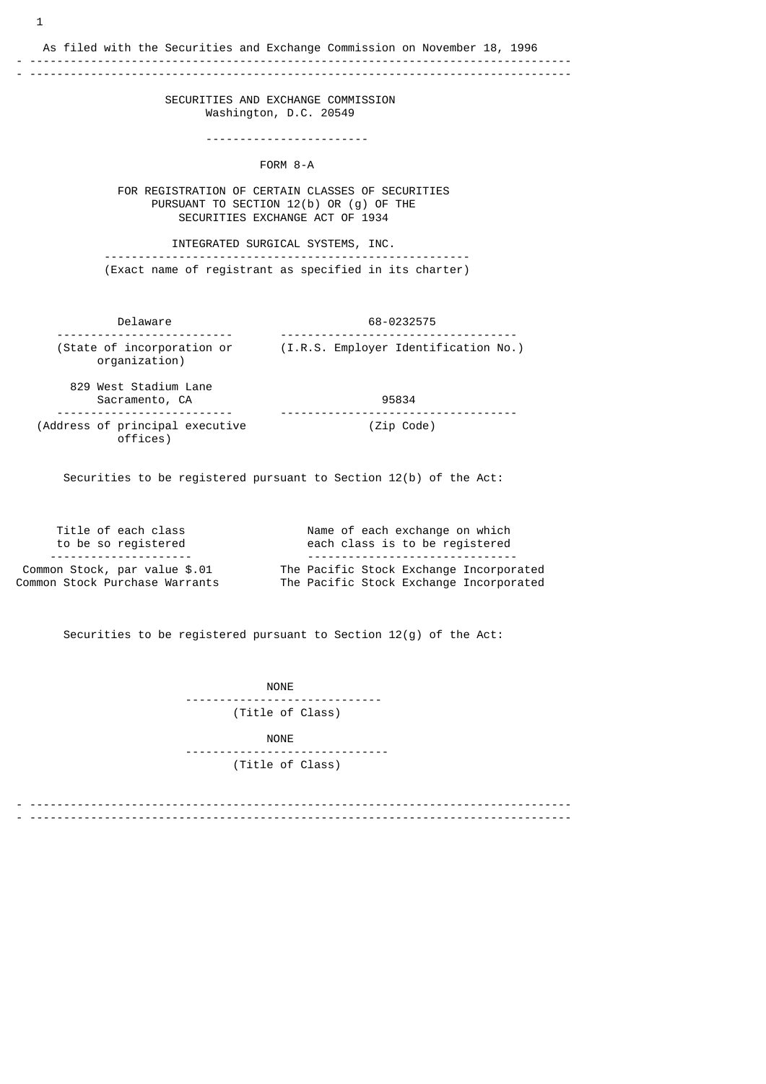As filed with the Securities and Exchange Commission on November 18, 1996

## - -------------------------------------------------------------------------------- - --------------------------------------------------------------------------------

 SECURITIES AND EXCHANGE COMMISSION Washington, D.C. 20549

------------------------

FORM 8-A

 FOR REGISTRATION OF CERTAIN CLASSES OF SECURITIES PURSUANT TO SECTION 12(b) OR (g) OF THE SECURITIES EXCHANGE ACT OF 1934

 INTEGRATED SURGICAL SYSTEMS, INC. ------------------------------------------------------ (Exact name of registrant as specified in its charter)

 Delaware 68-0232575 -------------------------- ----------------------------------- (State of incorporation or (I.R.S. Employer Identification No.) organization)

 829 West Stadium Lane Sacramento, CA 95834 -------------------------- ----------------------------------- (Address of principal executive (Zip Code) offices)

Securities to be registered pursuant to Section 12(b) of the Act:

 Title of each class Name of each exchange on which to be so registered each class is to be registered --------------------- ------------------------------- Common Stock, par value \$.01 The Pacific Stock Exchange Incorporated Common Stock Purchase Warrants The Pacific Stock Exchange Incorporated

Securities to be registered pursuant to Section 12(g) of the Act:

 NONE ----------------------------- (Title of Class) NONE ------------------------------ (Title of Class)

- -------------------------------------------------------------------------------- - --------------------------------------------------------------------------------

1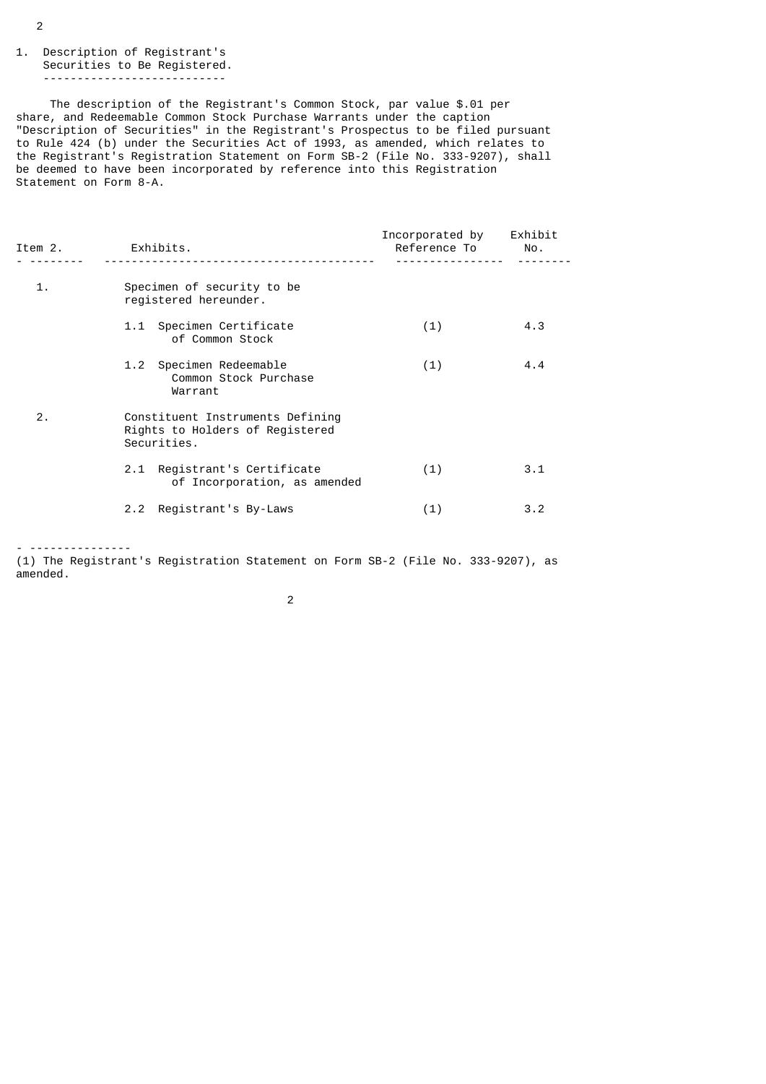## 1. Description of Registrant's Securities to Be Registered. ---------------------------

 The description of the Registrant's Common Stock, par value \$.01 per share, and Redeemable Common Stock Purchase Warrants under the caption "Description of Securities" in the Registrant's Prospectus to be filed pursuant to Rule 424 (b) under the Securities Act of 1993, as amended, which relates to the Registrant's Registration Statement on Form SB-2 (File No. 333-9207), shall be deemed to have been incorporated by reference into this Registration Statement on Form 8-A.

| Item 2. | Exhibits.                                                                          | Incorporated by<br>Reference To No. | Exhibit |
|---------|------------------------------------------------------------------------------------|-------------------------------------|---------|
| 1.      | Specimen of security to be<br>registered hereunder.                                |                                     |         |
|         | 1.1 Specimen Certificate<br>of Common Stock                                        | (1)                                 | 4.3     |
|         | 1.2 Specimen Redeemable<br>Common Stock Purchase<br>Warrant                        | (1)                                 | 4.4     |
| 2.      | Constituent Instruments Defining<br>Rights to Holders of Registered<br>Securities. |                                     |         |
|         | 2.1 Registrant's Certificate<br>of Incorporation, as amended                       | (1)                                 | 3.1     |
|         | Registrant's By-Laws<br>2.2                                                        | (1)                                 | 3.2     |

- ---------------

(1) The Registrant's Registration Statement on Form SB-2 (File No. 333-9207), as amended.

2